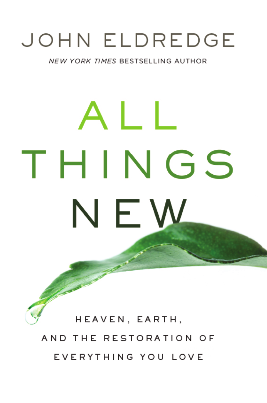# JOHN ELDREDGE

### NEW YORK TIMES BESTSELLING AUTHOR

# $ALL$ THINGS NEW

HEAVEN, EARTH,

AND THE RESTORATION OF EVERYTHING YOU LOVE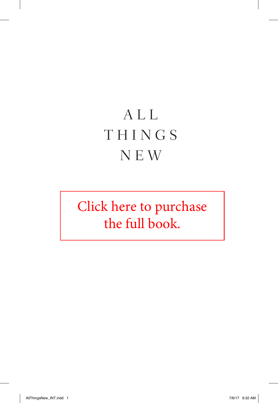# A L L T H I N G S NEW

[Click here to purchase](https://www.churchsource.com/all-things-new-series?utm_source=studygatewayobs&utm_medium=pdfdownload&utm_campaign=atnobs)  the full book.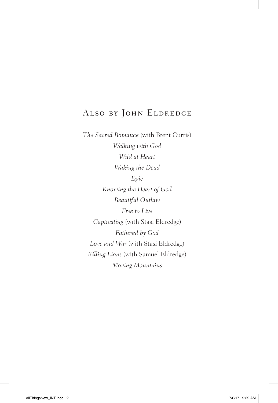#### Also by John Eldredge

*The Sacred Romance* (with Brent Curtis) *Walking with God Wild at Heart Waking the Dead Epic Knowing the Heart of God Beautiful Outlaw Free to Live Captivating* (with Stasi Eldredge) *Fathered by God Love and War* (with Stasi Eldredge) *Killing Lions* (with Samuel Eldredge) *Moving Mountains*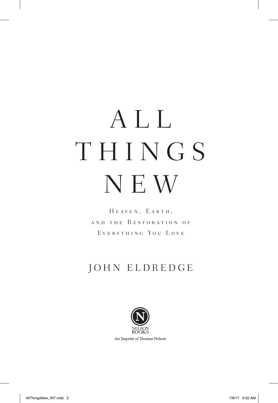# A L L T H I N G S NEW

 $H$  E AVEN,  $E$  ARTH, AND THE RESTORATION OF Everything You Love

## JOHN ELDREDGE

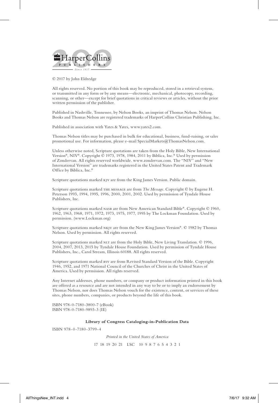

© 2017 by John Eldredge

All rights reserved. No portion of this book may be reproduced, stored in a retrieval system, or transmitted in any form or by any means—electronic, mechanical, photocopy, recording, scanning, or other—except for brief quotations in critical reviews or articles, without the prior written permission of the publisher.

Published in Nashville, Tennessee, by Nelson Books, an imprint of Thomas Nelson. Nelson Books and Thomas Nelson are registered trademarks of HarperCollins Christian Publishing, Inc.

Published in association with Yates & Yates, www.yates2.com.

Thomas Nelson titles may be purchased in bulk for educational, business, fund-raising, or sales promotional use. For information, please e-mail SpecialMarkets@ThomasNelson.com.

Unless otherwise noted, Scripture quotations are taken from the Holy Bible, New International Version®, NIV®. Copyright © 1973, 1978, 1984, 2011 by Biblica, Inc.® Used by permission of Zondervan. All rights reserved worldwide. www.zondervan.com. The "NIV" and "New International Version" are trademarks registered in the United States Patent and Trademark Office by Biblica, Inc.®

Scripture quotations marked  $ky$  are from the King James Version. Public domain.

Scripture quotations marked THE MESSAGE are from *The Message*. Copyright © by Eugene H. Peterson 1993, 1994, 1995, 1996, 2000, 2001, 2002. Used by permission of Tyndale House Publishers, Inc.

Scripture quotations marked NASB are from New American Standard Bible®. Copyright © 1960, 1962, 1963, 1968, 1971, 1972, 1973, 1975, 1977, 1995 by The Lockman Foundation. Used by permission. (www.Lockman.org)

Scripture quotations marked nkjv are from the New King James Version®. © 1982 by Thomas Nelson. Used by permission. All rights reserved.

Scripture quotations marked NLT are from the Holy Bible, New Living Translation. © 1996, 2004, 2007, 2013, 2015 by Tyndale House Foundation. Used by permission of Tyndale House Publishers, Inc., Carol Stream, Illinois 60188. All rights reserved.

Scripture quotations marked rsv are from Revised Standard Version of the Bible. Copyright 1946, 1952, and 1971 National Council of the Churches of Christ in the United States of America. Used by permission. All rights reserved.

Any Internet addresses, phone numbers, or company or product information printed in this book are offered as a resource and are not intended in any way to be or to imply an endorsement by Thomas Nelson, nor does Thomas Nelson vouch for the existence, content, or services of these sites, phone numbers, companies, or products beyond the life of this book.

ISBN 978-0-7180-3800-7 (eBook) ISBN 978-0-7180-9893-3 (IE)

#### **Library of Congress Cataloging-in-Publication Data**

ISBN 978-0-7180-3799-4

*Printed in the United States of America*

17 18 19 20 21 LSC 10 9 8 7 6 5 4 3 2 1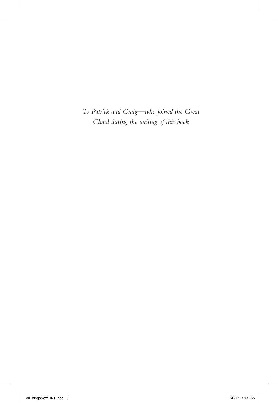*To Patrick and Craig—who joined the Great Cloud during the writing of this book*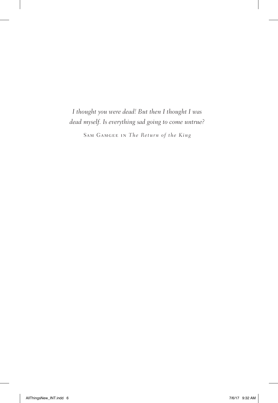*I thought you were dead! But then I thought I was dead myself. Is everything sad going to come untrue?*

Sam Gamgee in *The Return of the King*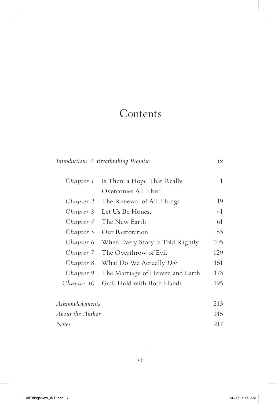# **Contents**

| Introduction: A Breathtaking Promise |                                  | ix  |
|--------------------------------------|----------------------------------|-----|
| Chapter 1                            | Is There a Hope That Really      | 1   |
|                                      | Overcomes All This?              |     |
| Chapter 2                            | The Renewal of All Things        | 19  |
| Chapter 3                            | Let Us Be Honest                 | 41  |
| Chapter 4                            | The New Earth                    | 61  |
| Chapter 5                            | Our Restoration                  | 83  |
| Chapter 6                            | When Every Story Is Told Rightly | 105 |
| Chapter 7                            | The Overthrow of Evil            | 129 |
| Chapter 8                            | What Do We Actually Do?          | 151 |
| Chapter 9                            | The Marriage of Heaven and Earth | 173 |
| Chapter 10                           | Grab Hold with Both Hands        | 195 |
|                                      |                                  |     |
| Acknowledgments                      |                                  | 213 |

| Atknowiedgmenis  | $\angle$ 10 |
|------------------|-------------|
| About the Author | 215         |
| Notes            | 2.17        |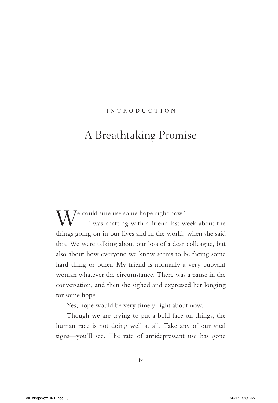#### INTRODUCTION

## A Breathtaking Promise

 $\sum_{i=1}^{\infty} \int e^{i\omega_i} \, du$  sure use some hope right now." I was chatting with a friend last week about the things going on in our lives and in the world, when she said this. We were talking about our loss of a dear colleague, but also about how everyone we know seems to be facing some hard thing or other. My friend is normally a very buoyant woman whatever the circumstance. There was a pause in the conversation, and then she sighed and expressed her longing for some hope.

Yes, hope would be very timely right about now.

Though we are trying to put a bold face on things, the human race is not doing well at all. Take any of our vital signs—you'll see. The rate of antidepressant use has gone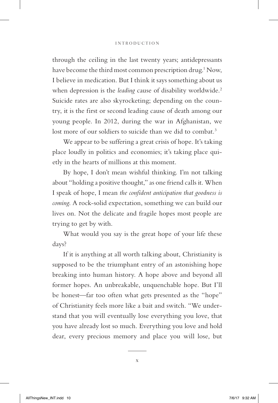#### INTRODUCTION

through the ceiling in the last twenty years; antidepressants have become the third most common prescription drug.<sup>1</sup> Now, I believe in medication. But I think it says something about us when depression is the *leading* cause of disability worldwide.<sup>2</sup> Suicide rates are also skyrocketing; depending on the country, it is the first or second leading cause of death among our young people. In 2012, during the war in Afghanistan, we lost more of our soldiers to suicide than we did to combat.<sup>3</sup>

We appear to be suffering a great crisis of hope. It's taking place loudly in politics and economies; it's taking place quietly in the hearts of millions at this moment.

By hope, I don't mean wishful thinking. I'm not talking about "holding a positive thought," as one friend calls it. When I speak of hope, I mean *the confident anticipation that goodness is coming*. A rock-solid expectation, something we can build our lives on. Not the delicate and fragile hopes most people are trying to get by with.

What would you say is the great hope of your life these days?

If it is anything at all worth talking about, Christianity is supposed to be the triumphant entry of an astonishing hope breaking into human history. A hope above and beyond all former hopes. An unbreakable, unquenchable hope. But I'll be honest—far too often what gets presented as the "hope" of Christianity feels more like a bait and switch. "We understand that you will eventually lose everything you love, that you have already lost so much. Everything you love and hold dear, every precious memory and place you will lose, but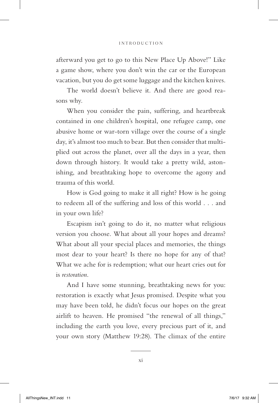afterward you get to go to this New Place Up Above!" Like a game show, where you don't win the car or the European vacation, but you do get some luggage and the kitchen knives.

The world doesn't believe it. And there are good reasons why.

When you consider the pain, suffering, and heartbreak contained in one children's hospital, one refugee camp, one abusive home or war-torn village over the course of a single day, it's almost too much to bear. But then consider that multiplied out across the planet, over all the days in a year, then down through history. It would take a pretty wild, astonishing, and breathtaking hope to overcome the agony and trauma of this world.

How is God going to make it all right? How is he going to redeem all of the suffering and loss of this world . . . and in your own life?

Escapism isn't going to do it, no matter what religious version you choose. What about all your hopes and dreams? What about all your special places and memories, the things most dear to your heart? Is there no hope for any of that? What we ache for is redemption; what our heart cries out for is *restoration*.

And I have some stunning, breathtaking news for you: restoration is exactly what Jesus promised. Despite what you may have been told, he didn't focus our hopes on the great airlift to heaven. He promised "the renewal of all things," including the earth you love, every precious part of it, and your own story (Matthew 19:28). The climax of the entire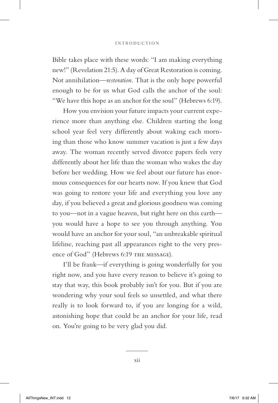#### INTRODUCTION

Bible takes place with these words: "I am making everything new!" (Revelation 21:5). A day of Great Restoration is coming. Not annihilation—*restoration*. That is the only hope powerful enough to be for us what God calls the anchor of the soul: "We have this hope as an anchor for the soul" (Hebrews 6:19).

How you envision your future impacts your current experience more than anything else. Children starting the long school year feel very differently about waking each morning than those who know summer vacation is just a few days away. The woman recently served divorce papers feels very differently about her life than the woman who wakes the day before her wedding. How we feel about our future has enormous consequences for our hearts now. If you knew that God was going to restore your life and everything you love any day, if you believed a great and glorious goodness was coming to you—not in a vague heaven, but right here on this earth you would have a hope to see you through anything. You would have an anchor for your soul, "an unbreakable spiritual lifeline, reaching past all appearances right to the very presence of God" (Hebrews 6:19 THE MESSAGE).

I'll be frank—if everything is going wonderfully for you right now, and you have every reason to believe it's going to stay that way, this book probably isn't for you. But if you are wondering why your soul feels so unsettled, and what there really is to look forward to, if you are longing for a wild, astonishing hope that could be an anchor for your life, read on. You're going to be very glad you did.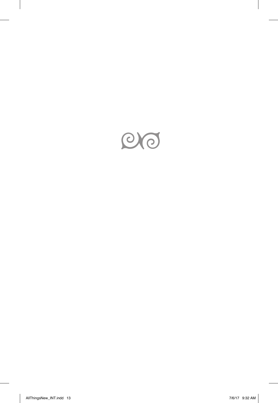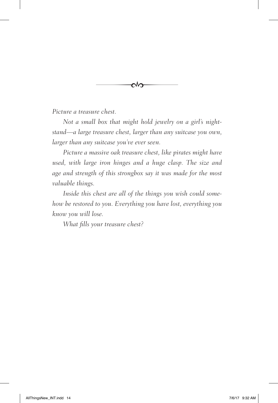

*Picture a treasure chest.*

*Not a small box that might hold jewelry on a girl's nightstand—a large treasure chest, larger than any suitcase you own, larger than any suitcase you've ever seen.*

*Picture a massive oak treasure chest, like pirates might have used, with large iron hinges and a huge clasp. The size and age and strength of this strongbox say it was made for the most valuable things.*

*Inside this chest are all of the things you wish could somehow be restored to you. Everything you have lost, everything you know you will lose.*

*What fills your treasure chest?*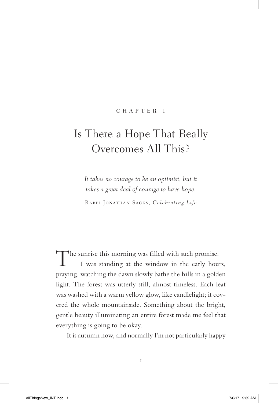#### CHAPTER 1

# Is There a Hope That Really Overcomes All This?

*It takes no courage to be an optimist, but it takes a great deal of courage to have hope.* Rabbi Jonathan Sacks, *Celebrating Life*

The sunrise this morning was filled with such promise. I was standing at the window in the early hours, praying, watching the dawn slowly bathe the hills in a golden light. The forest was utterly still, almost timeless. Each leaf was washed with a warm yellow glow, like candlelight; it covered the whole mountainside. Something about the bright, gentle beauty illuminating an entire forest made me feel that everything is going to be okay.

It is autumn now, and normally I'm not particularly happy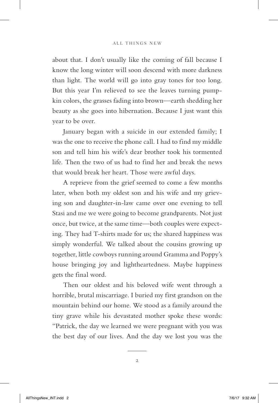about that. I don't usually like the coming of fall because I know the long winter will soon descend with more darkness than light. The world will go into gray tones for too long. But this year I'm relieved to see the leaves turning pumpkin colors, the grasses fading into brown—earth shedding her beauty as she goes into hibernation. Because I just want this year to be over.

January began with a suicide in our extended family; I was the one to receive the phone call. I had to find my middle son and tell him his wife's dear brother took his tormented life. Then the two of us had to find her and break the news that would break her heart. Those were awful days.

A reprieve from the grief seemed to come a few months later, when both my oldest son and his wife and my grieving son and daughter-in-law came over one evening to tell Stasi and me we were going to become grandparents. Not just once, but twice, at the same time—both couples were expecting. They had T-shirts made for us; the shared happiness was simply wonderful. We talked about the cousins growing up together, little cowboys running around Gramma and Poppy's house bringing joy and lightheartedness. Maybe happiness gets the final word.

Then our oldest and his beloved wife went through a horrible, brutal miscarriage. I buried my first grandson on the mountain behind our home. We stood as a family around the tiny grave while his devastated mother spoke these words: "Patrick, the day we learned we were pregnant with you was the best day of our lives. And the day we lost you was the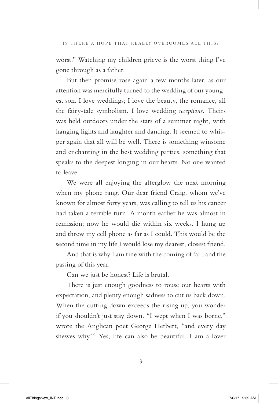worst." Watching my children grieve is the worst thing I've gone through as a father.

But then promise rose again a few months later, as our attention was mercifully turned to the wedding of our youngest son. I love weddings; I love the beauty, the romance, all the fairy-tale symbolism. I love wedding *receptions*. Theirs was held outdoors under the stars of a summer night, with hanging lights and laughter and dancing. It seemed to whisper again that all will be well. There is something winsome and enchanting in the best wedding parties, something that speaks to the deepest longing in our hearts. No one wanted to leave.

We were all enjoying the afterglow the next morning when my phone rang. Our dear friend Craig, whom we've known for almost forty years, was calling to tell us his cancer had taken a terrible turn. A month earlier he was almost in remission; now he would die within six weeks. I hung up and threw my cell phone as far as I could. This would be the second time in my life I would lose my dearest, closest friend.

And that is why I am fine with the coming of fall, and the passing of this year.

Can we just be honest? Life is brutal.

There is just enough goodness to rouse our hearts with expectation, and plenty enough sadness to cut us back down. When the cutting down exceeds the rising up, you wonder if you shouldn't just stay down. "I wept when I was borne," wrote the Anglican poet George Herbert, "and every day shewes why."1 Yes, life can also be beautiful. I am a lover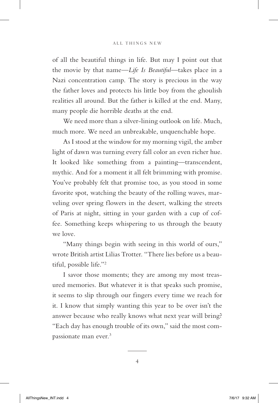of all the beautiful things in life. But may I point out that the movie by that name—*Life Is Beautiful*—takes place in a Nazi concentration camp. The story is precious in the way the father loves and protects his little boy from the ghoulish realities all around. But the father is killed at the end. Many, many people die horrible deaths at the end.

We need more than a silver-lining outlook on life. Much, much more. We need an unbreakable, unquenchable hope.

As I stood at the window for my morning vigil, the amber light of dawn was turning every fall color an even richer hue. It looked like something from a painting—transcendent, mythic. And for a moment it all felt brimming with promise. You've probably felt that promise too, as you stood in some favorite spot, watching the beauty of the rolling waves, marveling over spring flowers in the desert, walking the streets of Paris at night, sitting in your garden with a cup of coffee. Something keeps whispering to us through the beauty we love.

"Many things begin with seeing in this world of ours," wrote British artist Lilias Trotter. "There lies before us a beautiful, possible life."2

I savor those moments; they are among my most treasured memories. But whatever it is that speaks such promise, it seems to slip through our fingers every time we reach for it. I know that simply wanting this year to be over isn't the answer because who really knows what next year will bring? "Each day has enough trouble of its own," said the most compassionate man ever.3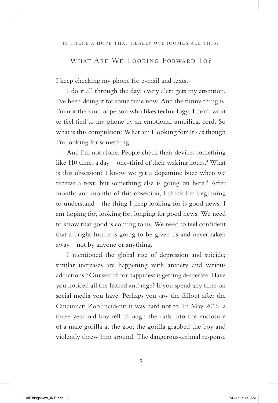#### WHAT ARE WE LOOKING FORWARD TO?

I keep checking my phone for e-mail and texts.

I do it all through the day; every alert gets my attention. I've been doing it for some time now. And the funny thing is, I'm not the kind of person who likes technology; I don't want to feel tied to my phone by an emotional umbilical cord. So what is this compulsion? What am I looking for? It's as though I'm looking for something.

And I'm not alone. People check their devices something like 110 times a day—one-third of their waking hours.<sup>4</sup> What is this obsession? I know we get a dopamine buzz when we receive a text, but something else is going on here.<sup>5</sup> After months and months of this obsession, I think I'm beginning to understand—the thing I keep looking for is good news. I am hoping for, looking for, longing for good news. We need to know that good is coming to us. We need to feel confident that a bright future is going to be given us and never taken away—not by anyone or anything.

I mentioned the global rise of depression and suicide; similar increases are happening with anxiety and various addictions.<sup>6</sup> Our search for happiness is getting desperate. Have you noticed all the hatred and rage? If you spend any time on social media you have. Perhaps you saw the fallout after the Cincinnati Zoo incident; it was hard not to. In May 2016, a three-year-old boy fell through the rails into the enclosure of a male gorilla at the zoo; the gorilla grabbed the boy and violently threw him around. The dangerous-animal response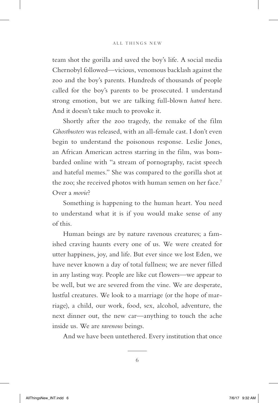team shot the gorilla and saved the boy's life. A social media Chernobyl followed—vicious, venomous backlash against the zoo and the boy's parents. Hundreds of thousands of people called for the boy's parents to be prosecuted. I understand strong emotion, but we are talking full-blown *hatred* here. And it doesn't take much to provoke it.

Shortly after the zoo tragedy, the remake of the film *Ghostbusters* was released, with an all-female cast. I don't even begin to understand the poisonous response. Leslie Jones, an African American actress starring in the film, was bombarded online with "a stream of pornography, racist speech and hateful memes." She was compared to the gorilla shot at the zoo; she received photos with human semen on her face.<sup>7</sup> Over a *movie*?

Something is happening to the human heart. You need to understand what it is if you would make sense of any of this.

Human beings are by nature ravenous creatures; a famished craving haunts every one of us. We were created for utter happiness, joy, and life. But ever since we lost Eden, we have never known a day of total fullness; we are never filled in any lasting way. People are like cut flowers—we appear to be well, but we are severed from the vine. We are desperate, lustful creatures. We look to a marriage (or the hope of marriage), a child, our work, food, sex, alcohol, adventure, the next dinner out, the new car—anything to touch the ache inside us. We are *ravenous* beings.

And we have been untethered. Every institution that once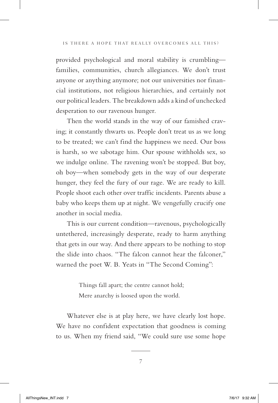provided psychological and moral stability is crumbling families, communities, church allegiances. We don't trust anyone or anything anymore; not our universities nor financial institutions, not religious hierarchies, and certainly not our political leaders. The breakdown adds a kind of unchecked desperation to our ravenous hunger.

Then the world stands in the way of our famished craving; it constantly thwarts us. People don't treat us as we long to be treated; we can't find the happiness we need. Our boss is harsh, so we sabotage him. Our spouse withholds sex, so we indulge online. The ravening won't be stopped. But boy, oh boy—when somebody gets in the way of our desperate hunger, they feel the fury of our rage. We are ready to kill. People shoot each other over traffic incidents. Parents abuse a baby who keeps them up at night. We vengefully crucify one another in social media.

This is our current condition—ravenous, psychologically untethered, increasingly desperate, ready to harm anything that gets in our way. And there appears to be nothing to stop the slide into chaos. "The falcon cannot hear the falconer," warned the poet W. B. Yeats in "The Second Coming":

> Things fall apart; the centre cannot hold; Mere anarchy is loosed upon the world.

Whatever else is at play here, we have clearly lost hope. We have no confident expectation that goodness is coming to us. When my friend said, "We could sure use some hope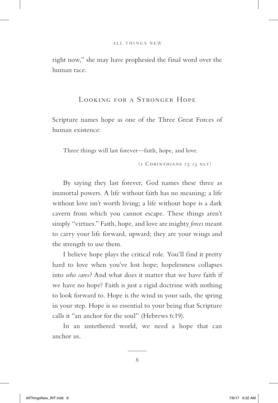right now," she may have prophesied the final word over the human race.

#### Looking for a Stronger Hope

Scripture names hope as one of the Three Great Forces of human existence:

Three things will last forever—faith, hope, and love.

(1 Corinthians 13:13 nlt)

By saying they last forever, God names these three as immortal powers. A life without faith has no meaning; a life without love isn't worth living; a life without hope is a dark cavern from which you cannot escape. These things aren't simply "virtues." Faith, hope, and love are mighty *forces* meant to carry your life forward, upward; they are your wings and the strength to use them.

I believe hope plays the critical role. You'll find it pretty hard to love when you've lost hope; hopelessness collapses into *who cares?* And what does it matter that we have faith if we have no hope? Faith is just a rigid doctrine with nothing to look forward to. Hope is the wind in your sails, the spring in your step. Hope is so essential to your being that Scripture calls it "an anchor for the soul" (Hebrews 6:19).

In an untethered world, we need a hope that can anchor us.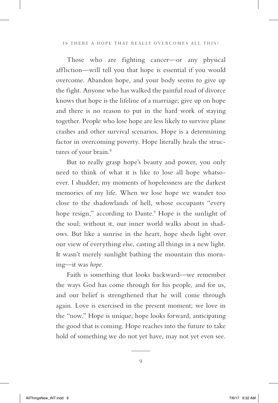#### IS THERE A HOPE THAT REALLY OVERCOMES ALL THIS?

Those who are fighting cancer—or any physical affliction—will tell you that hope is essential if you would overcome. Abandon hope, and your body seems to give up the fight. Anyone who has walked the painful road of divorce knows that hope is the lifeline of a marriage; give up on hope and there is no reason to put in the hard work of staying together. People who lose hope are less likely to survive plane crashes and other survival scenarios. Hope is a determining factor in overcoming poverty. Hope literally heals the structures of your brain.<sup>8</sup>

But to really grasp hope's beauty and power, you only need to think of what it is like to lose all hope whatsoever. I shudder; my moments of hopelessness are the darkest memories of my life. When we lose hope we wander too close to the shadowlands of hell, whose occupants "every hope resign," according to Dante.<sup>9</sup> Hope is the sunlight of the soul; without it, our inner world walks about in shadows. But like a sunrise in the heart, hope sheds light over our view of everything else, casting all things in a new light. It wasn't merely sunlight bathing the mountain this morning—it was *hope*.

Faith is something that looks backward—we remember the ways God has come through for his people, and for us, and our belief is strengthened that he will come through again. Love is exercised in the present moment; we love in the "now." Hope is unique; hope looks forward, anticipating the good that is coming. Hope reaches into the future to take hold of something we do not yet have, may not yet even see.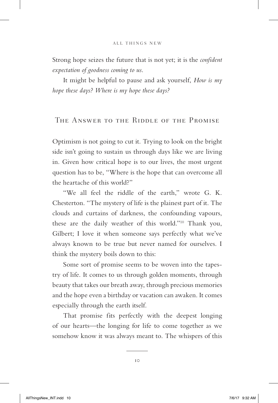Strong hope seizes the future that is not yet; it is the *confident expectation of goodness coming to us*.

It might be helpful to pause and ask yourself, *How is my hope these days? Where is my hope these days?*

#### The Answer to the Riddle of the Promise

Optimism is not going to cut it. Trying to look on the bright side isn't going to sustain us through days like we are living in. Given how critical hope is to our lives, the most urgent question has to be, "Where is the hope that can overcome all the heartache of this world?"

"We all feel the riddle of the earth," wrote G. K. Chesterton. "The mystery of life is the plainest part of it. The clouds and curtains of darkness, the confounding vapours, these are the daily weather of this world."10 Thank you, Gilbert; I love it when someone says perfectly what we've always known to be true but never named for ourselves. I think the mystery boils down to this:

Some sort of promise seems to be woven into the tapestry of life. It comes to us through golden moments, through beauty that takes our breath away, through precious memories and the hope even a birthday or vacation can awaken. It comes especially through the earth itself.

That promise fits perfectly with the deepest longing of our hearts—the longing for life to come together as we somehow know it was always meant to. The whispers of this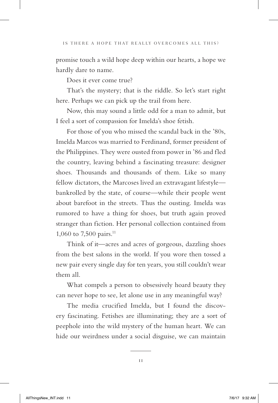promise touch a wild hope deep within our hearts, a hope we hardly dare to name.

Does it ever come true?

That's the mystery; that is the riddle. So let's start right here. Perhaps we can pick up the trail from here.

Now, this may sound a little odd for a man to admit, but I feel a sort of compassion for Imelda's shoe fetish.

For those of you who missed the scandal back in the '80s, Imelda Marcos was married to Ferdinand, former president of the Philippines. They were ousted from power in '86 and fled the country, leaving behind a fascinating treasure: designer shoes. Thousands and thousands of them. Like so many fellow dictators, the Marcoses lived an extravagant lifestyle bankrolled by the state, of course—while their people went about barefoot in the streets. Thus the ousting. Imelda was rumored to have a thing for shoes, but truth again proved stranger than fiction. Her personal collection contained from 1,060 to 7,500 pairs.11

Think of it—acres and acres of gorgeous, dazzling shoes from the best salons in the world. If you wore then tossed a new pair every single day for ten years, you still couldn't wear them all.

What compels a person to obsessively hoard beauty they can never hope to see, let alone use in any meaningful way?

The media crucified Imelda, but I found the discovery fascinating. Fetishes are illuminating; they are a sort of peephole into the wild mystery of the human heart. We can hide our weirdness under a social disguise, we can maintain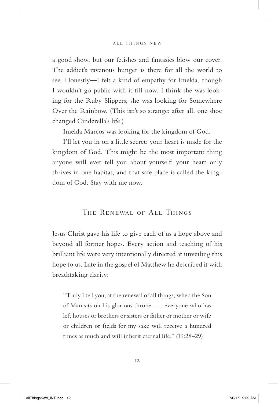a good show, but our fetishes and fantasies blow our cover. The addict's ravenous hunger is there for all the world to see. Honestly—I felt a kind of empathy for Imelda, though I wouldn't go public with it till now. I think she was looking for the Ruby Slippers; she was looking for Somewhere Over the Rainbow. (This isn't so strange: after all, one shoe changed Cinderella's life.)

Imelda Marcos was looking for the kingdom of God.

I'll let you in on a little secret: your heart is made for the kingdom of God. This might be the most important thing anyone will ever tell you about yourself: your heart only thrives in one habitat, and that safe place is called the kingdom of God. Stay with me now.

#### The Renewal of All Things

Jesus Christ gave his life to give each of us a hope above and beyond all former hopes. Every action and teaching of his brilliant life were very intentionally directed at unveiling this hope to us. Late in the gospel of Matthew he described it with breathtaking clarity:

"Truly I tell you, at the renewal of all things, when the Son of Man sits on his glorious throne . . . everyone who has left houses or brothers or sisters or father or mother or wife or children or fields for my sake will receive a hundred times as much and will inherit eternal life." (19:28–29)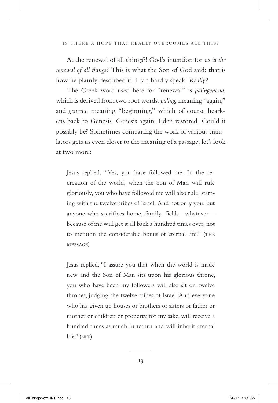At the renewal of all things?! God's intention for us is *the renewal of all things*? This is what the Son of God said; that is how he plainly described it. I can hardly speak. *Really?*

The Greek word used here for "renewal" is *palingenesia*, which is derived from two root words: *paling*, meaning "again," and *genesia*, meaning "beginning," which of course hearkens back to Genesis. Genesis again. Eden restored. Could it possibly be? Sometimes comparing the work of various translators gets us even closer to the meaning of a passage; let's look at two more:

Jesus replied, "Yes, you have followed me. In the recreation of the world, when the Son of Man will rule gloriously, you who have followed me will also rule, starting with the twelve tribes of Israel. And not only you, but anyone who sacrifices home, family, fields—whatever because of me will get it all back a hundred times over, not to mention the considerable bonus of eternal life." (THE message)

Jesus replied, "I assure you that when the world is made new and the Son of Man sits upon his glorious throne, you who have been my followers will also sit on twelve thrones, judging the twelve tribes of Israel. And everyone who has given up houses or brothers or sisters or father or mother or children or property, for my sake, will receive a hundred times as much in return and will inherit eternal  $life."$  (NLT)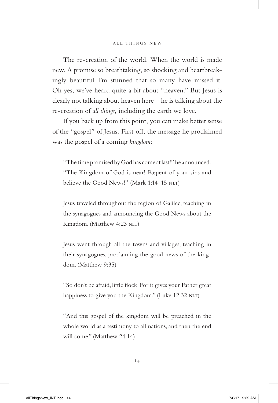The re-creation of the world. When the world is made new. A promise so breathtaking, so shocking and heartbreakingly beautiful I'm stunned that so many have missed it. Oh yes, we've heard quite a bit about "heaven." But Jesus is clearly not talking about heaven here—he is talking about the re-creation of *all things*, including the earth we love.

If you back up from this point, you can make better sense of the "gospel" of Jesus. First off, the message he proclaimed was the gospel of a coming *kingdom*:

"The time promised by God has come at last!" he announced. "The Kingdom of God is near! Repent of your sins and believe the Good News!" (Mark 1:14-15 NLT)

Jesus traveled throughout the region of Galilee, teaching in the synagogues and announcing the Good News about the Kingdom. (Matthew 4:23 NLT)

Jesus went through all the towns and villages, teaching in their synagogues, proclaiming the good news of the kingdom. (Matthew 9:35)

"So don't be afraid, little flock. For it gives your Father great happiness to give you the Kingdom." (Luke  $12:32$  NLT)

"And this gospel of the kingdom will be preached in the whole world as a testimony to all nations, and then the end will come." (Matthew 24:14)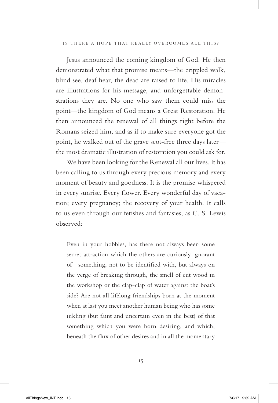#### IS THERE A HOPE THAT REALLY OVERCOMES ALL THIS?

Jesus announced the coming kingdom of God. He then demonstrated what that promise means—the crippled walk, blind see, deaf hear, the dead are raised to life. His miracles are illustrations for his message, and unforgettable demonstrations they are. No one who saw them could miss the point—the kingdom of God means a Great Restoration. He then announced the renewal of all things right before the Romans seized him, and as if to make sure everyone got the point, he walked out of the grave scot-free three days later the most dramatic illustration of restoration you could ask for.

We have been looking for the Renewal all our lives. It has been calling to us through every precious memory and every moment of beauty and goodness. It is the promise whispered in every sunrise. Every flower. Every wonderful day of vacation; every pregnancy; the recovery of your health. It calls to us even through our fetishes and fantasies, as C. S. Lewis observed:

Even in your hobbies, has there not always been some secret attraction which the others are curiously ignorant of—something, not to be identified with, but always on the verge of breaking through, the smell of cut wood in the workshop or the clap-clap of water against the boat's side? Are not all lifelong friendships born at the moment when at last you meet another human being who has some inkling (but faint and uncertain even in the best) of that something which you were born desiring, and which, beneath the flux of other desires and in all the momentary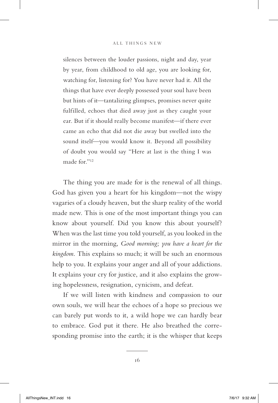silences between the louder passions, night and day, year by year, from childhood to old age, you are looking for, watching for, listening for? You have never had it. All the things that have ever deeply possessed your soul have been but hints of it—tantalizing glimpses, promises never quite fulfilled, echoes that died away just as they caught your ear. But if it should really become manifest—if there ever came an echo that did not die away but swelled into the sound itself—you would know it. Beyond all possibility of doubt you would say "Here at last is the thing I was made for."12

The thing you are made for is the renewal of all things. God has given you a heart for his kingdom—not the wispy vagaries of a cloudy heaven, but the sharp reality of the world made new. This is one of the most important things you can know about yourself. Did you know this about yourself? When was the last time you told yourself, as you looked in the mirror in the morning, *Good morning; you have a heart for the kingdom*. This explains so much; it will be such an enormous help to you. It explains your anger and all of your addictions. It explains your cry for justice, and it also explains the growing hopelessness, resignation, cynicism, and defeat.

If we will listen with kindness and compassion to our own souls, we will hear the echoes of a hope so precious we can barely put words to it, a wild hope we can hardly bear to embrace. God put it there. He also breathed the corresponding promise into the earth; it is the whisper that keeps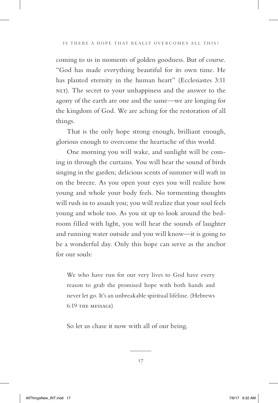coming to us in moments of golden goodness. But of course. "God has made everything beautiful for its own time. He has planted eternity in the human heart" (Ecclesiastes 3:11 NLT). The secret to your unhappiness and the answer to the agony of the earth are one and the same—we are longing for the kingdom of God. We are aching for the restoration of all things.

That is the only hope strong enough, brilliant enough, glorious enough to overcome the heartache of this world.

One morning you will wake, and sunlight will be coming in through the curtains. You will hear the sound of birds singing in the garden; delicious scents of summer will waft in on the breeze. As you open your eyes you will realize how young and whole your body feels. No tormenting thoughts will rush in to assault you; you will realize that your soul feels young and whole too. As you sit up to look around the bedroom filled with light, you will hear the sounds of laughter and running water outside and you will know—it is going to be a wonderful day. Only this hope can serve as the anchor for our souls:

We who have run for our very lives to God have every reason to grab the promised hope with both hands and never let go. It's an unbreakable spiritual lifeline. (Hebrews 6:19 THE MESSAGE)

So let us chase it now with all of our being.